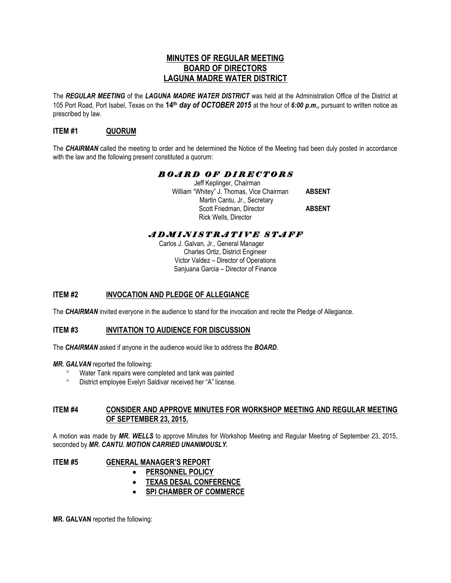## **MINUTES OF REGULAR MEETING BOARD OF DIRECTORS LAGUNA MADRE WATER DISTRICT**

The *REGULAR MEETING* of the *LAGUNA MADRE WATER DISTRICT* was held at the Administration Office of the District at 105 Port Road, Port Isabel, Texas on the **14th** *day of OCTOBER 2015* at the hour of *6:00 p.m.,* pursuant to written notice as prescribed by law.

## **ITEM #1 QUORUM**

The *CHAIRMAN* called the meeting to order and he determined the Notice of the Meeting had been duly posted in accordance with the law and the following present constituted a quorum:

# *B O A R D O F D I R E C T O R S*

 Jeff Keplinger, Chairman William "Whitey" J. Thomas, Vice Chairman **ABSENT** Martin Cantu, Jr., Secretary Scott Friedman, Director **ABSENT** Rick Wells, Director

# *A D M I N I S T R A T I V E S T A F F*

 Carlos J. Galvan, Jr., General Manager Charles Ortiz, District Engineer Victor Valdez – Director of Operations Sanjuana Garcia – Director of Finance

# **ITEM #2 INVOCATION AND PLEDGE OF ALLEGIANCE**

The *CHAIRMAN* invited everyone in the audience to stand for the invocation and recite the Pledge of Allegiance.

## **ITEM #3 INVITATION TO AUDIENCE FOR DISCUSSION**

The *CHAIRMAN* asked if anyone in the audience would like to address the *BOARD*.

*MR. GALVAN* reported the following:

- Water Tank repairs were completed and tank was painted
- District employee Evelyn Saldivar received her "A" license.

## **ITEM #4 CONSIDER AND APPROVE MINUTES FOR WORKSHOP MEETING AND REGULAR MEETING OF SEPTEMBER 23, 2015.**

A motion was made by *MR. WELLS* to approve Minutes for Workshop Meeting and Regular Meeting of September 23, 2015, seconded by *MR. CANTU. MOTION CARRIED UNANIMOUSLY.* 

**ITEM #5 GENERAL MANAGER'S REPORT** 

- **PERSONNEL POLICY**
- **TEXAS DESAL CONFERENCE**
- **SPI CHAMBER OF COMMERCE**

**MR. GALVAN** reported the following: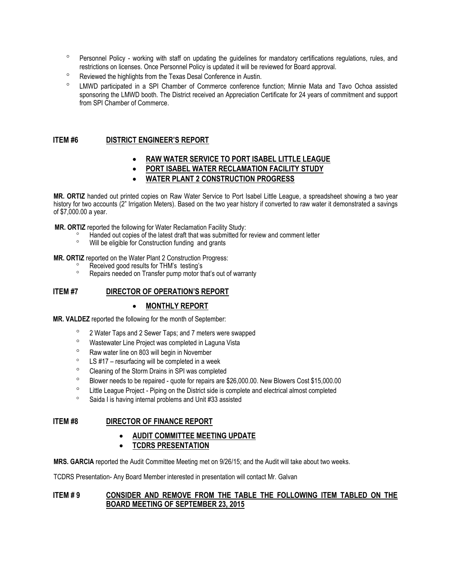- <sup>o</sup> Personnel Policy working with staff on updating the guidelines for mandatory certifications regulations, rules, and restrictions on licenses. Once Personnel Policy is updated it will be reviewed for Board approval.
- <sup>o</sup> Reviewed the highlights from the Texas Desal Conference in Austin.
- LMWD participated in a SPI Chamber of Commerce conference function; Minnie Mata and Tavo Ochoa assisted sponsoring the LMWD booth. The District received an Appreciation Certificate for 24 years of commitment and support from SPI Chamber of Commerce.

## **ITEM #6 DISTRICT ENGINEER'S REPORT**

- **RAW WATER SERVICE TO PORT ISABEL LITTLE LEAGUE**
- **PORT ISABEL WATER RECLAMATION FACILITY STUDY**
- **WATER PLANT 2 CONSTRUCTION PROGRESS**

**MR. ORTIZ** handed out printed copies on Raw Water Service to Port Isabel Little League, a spreadsheet showing a two year history for two accounts (2" Irrigation Meters). Based on the two year history if converted to raw water it demonstrated a savings of \$7,000.00 a year.

**MR. ORTIZ** reported the following for Water Reclamation Facility Study:

- Handed out copies of the latest draft that was submitted for review and comment letter
- Will be eligible for Construction funding and grants

**MR. ORTIZ** reported on the Water Plant 2 Construction Progress:

- <sup>o</sup> Received good results for THM's testing's<br>Repairs peeded on Transfer nump motor the
- Repairs needed on Transfer pump motor that's out of warranty

### **ITEM #7 DIRECTOR OF OPERATION'S REPORT**

### **MONTHLY REPORT**

**MR. VALDEZ** reported the following for the month of September:

- <sup>o</sup> 2 Water Taps and 2 Sewer Taps; and 7 meters were swapped
- <sup>o</sup> Wastewater Line Project was completed in Laguna Vista
- <sup>o</sup> Raw water line on 803 will begin in November
- $\degree$  LS #17 resurfacing will be completed in a week
- <sup>o</sup> Cleaning of the Storm Drains in SPI was completed
- Blower needs to be repaired quote for repairs are \$26,000.00. New Blowers Cost \$15,000.00
- <sup>o</sup> Little League Project Piping on the District side is complete and electrical almost completed
- Saida I is having internal problems and Unit #33 assisted

### **ITEM #8 DIRECTOR OF FINANCE REPORT**

- **AUDIT COMMITTEE MEETING UPDATE**
- **TCDRS PRESENTATION**

**MRS. GARCIA** reported the Audit Committee Meeting met on 9/26/15; and the Audit will take about two weeks.

TCDRS Presentation- Any Board Member interested in presentation will contact Mr. Galvan

## **ITEM # 9 CONSIDER AND REMOVE FROM THE TABLE THE FOLLOWING ITEM TABLED ON THE BOARD MEETING OF SEPTEMBER 23, 2015**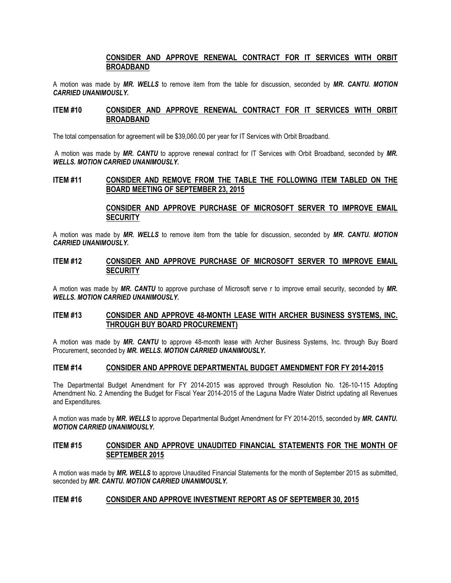### **CONSIDER AND APPROVE RENEWAL CONTRACT FOR IT SERVICES WITH ORBIT BROADBAND**

A motion was made by *MR. WELLS* to remove item from the table for discussion, seconded by *MR. CANTU. MOTION CARRIED UNANIMOUSLY.*

#### **ITEM #10 CONSIDER AND APPROVE RENEWAL CONTRACT FOR IT SERVICES WITH ORBIT BROADBAND**

The total compensation for agreement will be \$39,060.00 per year for IT Services with Orbit Broadband.

A motion was made by *MR. CANTU* to approve renewal contract for IT Services with Orbit Broadband, seconded by *MR. WELLS. MOTION CARRIED UNANIMOUSLY.* 

#### **ITEM #11 CONSIDER AND REMOVE FROM THE TABLE THE FOLLOWING ITEM TABLED ON THE BOARD MEETING OF SEPTEMBER 23, 2015**

#### **CONSIDER AND APPROVE PURCHASE OF MICROSOFT SERVER TO IMPROVE EMAIL SECURITY**

A motion was made by *MR. WELLS* to remove item from the table for discussion, seconded by *MR. CANTU. MOTION CARRIED UNANIMOUSLY.*

#### **ITEM #12 CONSIDER AND APPROVE PURCHASE OF MICROSOFT SERVER TO IMPROVE EMAIL SECURITY**

A motion was made by *MR. CANTU* to approve purchase of Microsoft serve r to improve email security, seconded by *MR. WELLS. MOTION CARRIED UNANIMOUSLY.* 

### **ITEM #13 CONSIDER AND APPROVE 48-MONTH LEASE WITH ARCHER BUSINESS SYSTEMS, INC. THROUGH BUY BOARD PROCUREMENT)**

A motion was made by *MR. CANTU* to approve 48-month lease with Archer Business Systems, Inc. through Buy Board Procurement, seconded by *MR. WELLS. MOTION CARRIED UNANIMOUSLY.* 

#### **ITEM #14 CONSIDER AND APPROVE DEPARTMENTAL BUDGET AMENDMENT FOR FY 2014-2015**

The Departmental Budget Amendment for FY 2014-2015 was approved through Resolution No. 126-10-115 Adopting Amendment No. 2 Amending the Budget for Fiscal Year 2014-2015 of the Laguna Madre Water District updating all Revenues and Expenditures.

A motion was made by *MR. WELLS* to approve Departmental Budget Amendment for FY 2014-2015, seconded by *MR. CANTU. MOTION CARRIED UNANIMOUSLY.*

### **ITEM #15 CONSIDER AND APPROVE UNAUDITED FINANCIAL STATEMENTS FOR THE MONTH OF SEPTEMBER 2015**

A motion was made by *MR. WELLS* to approve Unaudited Financial Statements for the month of September 2015 as submitted, seconded by *MR. CANTU. MOTION CARRIED UNANIMOUSLY.*

#### **ITEM #16 CONSIDER AND APPROVE INVESTMENT REPORT AS OF SEPTEMBER 30, 2015**